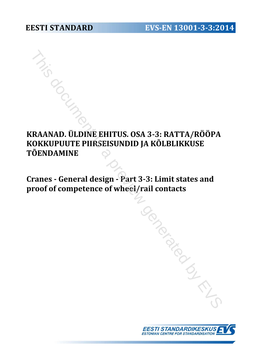# **KRAANAD. ÜLDINE EHITUS. OSA 3-3: RATTA/RÖÖPA KOKKUPUUTE PIIRSEISUNDID JA KÕLBLIKKUSE TÕENDAMINE** This document is a previous of the EHITUS. OSA 3-3: RATTA/RÖÖPA<br>
DKKUPUUTE PIIRSEISUNDID JA KÕLBLIKKUSE<br>
DENDAMINE<br>
ranes - General design - Part 3-3: Limit states and<br>
roof of competence of wheel/rail contacts

**Cranes - General design - Part 3-3: Limit states and proof of competence of wheel/rail contacts** 

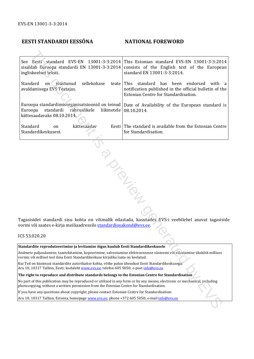#### **EESTI STANDARDI EESSÕNA NATIONAL FOREWORD**

See Eesti standard EVS-EN 13001-3-3:2014 sisaldab Euroopa standardi EN 13001-3-3:2014 ingliskeelset teksti. This Estonian standard EVS-EN 13001-3-3:2014 consists of the English text of the European standard EN 13001-3-3:2014. Standard on jõustunud sellekohase teate avaldamisega EVS Teatajas. Euroopa standardimisorganisatsioonid on teinud Euroopa standardi rahvuslikele liikmetele kättesaadavaks 08.10.2014. This standard has been endorsed with a notification published in the official bulletin of the Estonian Centre for Standardisation. Date of Availability of the European standard is 08.10.2014. Standard on kättesaadav Standardikeskusest. Eesti The standard is available from the Estonian Centre for Standardisation. Eesti standard EVS-EN 13001-3-3:2014 This Estonian singlard EVS-EN 13001-3-3:2016<br>
dob Forreigns standard EN 13001-3-3:2014 consists of the Finglish text of the Europea standard EN 13001-3-3:2014 consists of the Finglish

Tagasisidet standardi sisu kohta on võimalik edastada, kasutades EVS-i veebilehel asuvat tagasiside vormi või saates e-kirja meiliaadressile standardiosakond@evs.ee.

ICS 53.020.20

| Standardite reprodutseerimise ja levitamise õigus kuulub Eesti Standardikeskusele                                                                                                                                      |
|------------------------------------------------------------------------------------------------------------------------------------------------------------------------------------------------------------------------|
| Andmete paljundamine, taastekitamine, kopeerimine, salvestamine elektroonsesse süsteemi või edastamine ükskõik millises<br>vormis või millisel teel ilma Eesti Standardikeskuse kirjaliku loata on keelatud.           |
| Kui Teil on küsimusi standardite autorikaitse kohta, võtke palun ühendust Eesti Standardikeskusega:<br>Aru 10, 10317 Tallinn, Eesti; koduleht www.evs.ee; telefon 605 5050; e-post info@evs.ee                         |
| The right to reproduce and distribute standards belongs to the Estonian Centre for Standardisation                                                                                                                     |
| No part of this publication may be reproduced or utilized in any form or by any means, electronic or mechanical, including<br>photocopying, without a written permission from the Estonian Centre for Standardisation. |
| If you have any questions about copyright, please contact Estonian Centre for Standardisation:                                                                                                                         |
| Aru 10, 10317 Tallinn, Estonia; homepage www.eys.ee; phone +372 605 5050; e-mail info@eys.ee                                                                                                                           |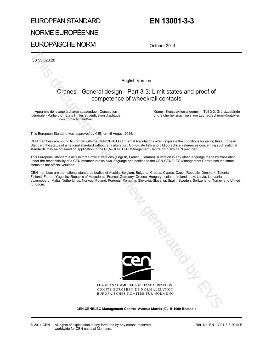# EUROPEAN STANDARD NORME EUROPÉENNE EUROPÄISCHE NORM

# **EN 13001-3-3**

October 2014

ICS 53.020.20

English Version

## Cranes - General design - Part 3-3: Limit states and proof of competence of wheel/rail contacts

Appareils de levage à charge suspendue - Conception générale - Partie 3-3 : Etats limites et vérification d'aptitude des contacts galet/rail

 Krane - Konstruktion allgemein - Teil 3-3: Grenzzustände und Sicherheitsnachweis von Laufrad/Schiene-Kontakten

This European Standard was approved by CEN on 16 August 2014.

CEN members are bound to comply with the CEN/CENELEC Internal Regulations which stipulate the conditions for giving this European Standard the status of a national standard without any alteration. Up-to-date lists and bibliographical references concerning such national standards may be obtained on application to the CEN-CENELEC Management Centre or to any CEN member.

This European Standard exists in three official versions (English, French, German). A version in any other language made by translation under the responsibility of a CEN member into its own language and notified to the CEN-CENELEC Management Centre has the same status as the official versions.

CEN members are the national standards bodies of Austria, Belgium, Bulgaria, Croatia, Cyprus, Czech Republic, Denmark, Estonia, Finland, Former Yugoslav Republic of Macedonia, France, Germany, Greece, Hungary, Iceland, Ireland, Italy, Latvia, Lithuania, Luxembourg, Malta, Netherlands, Norway, Poland, Portugal, Romania, Slovakia, Slovenia, Spain, Sweden, Switzerland, Turkey and United Kingdom.



EUROPEAN COMMITTEE FOR STANDARDIZATION COMITÉ EUROPÉEN DE NORMALISATION EUROPÄISCHES KOMITEE FÜR NORMUNG

**CEN-CENELEC Management Centre: Avenue Marnix 17, B-1000 Brussels** 

Ref. No. EN 13001-3-3:2014 E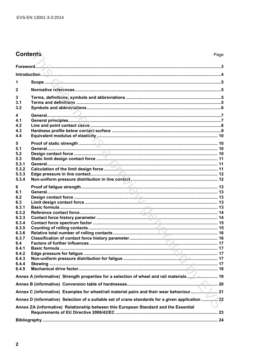## **Contents**

| 1                                                                                                                                         |  |
|-------------------------------------------------------------------------------------------------------------------------------------------|--|
| $\overline{2}$                                                                                                                            |  |
| 3<br>3.1<br>3.2                                                                                                                           |  |
| 4<br>4.1<br>4.2<br>4.3<br>4.4                                                                                                             |  |
| 5<br>5.1<br>5.2<br>5.3<br>5.3.1<br>5.3.2<br>5.3.3<br>5.3.4                                                                                |  |
| 6<br>6.1<br>6.2<br>6.3<br>6.3.1<br>6.3.2<br>6.3.3<br>6.3.4<br>6.3.5<br>6.3.6<br>6.3.7<br>6.4<br>6.4.1<br>6.4.2<br>6.4.3<br>6.4.4<br>6.4.5 |  |
| Annex A (informative) Strength properties for a selection of wheel and rail materials  19                                                 |  |
|                                                                                                                                           |  |
| Annex D (informative) Selection of a suitable set of crane standards for a given application  22                                          |  |
| Annex ZA (informative) Relationship between this European Standard and the Essential                                                      |  |
|                                                                                                                                           |  |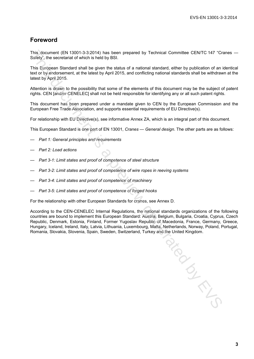### **Foreword**

This document (EN 13001-3-3:2014) has been prepared by Technical Committee CEN/TC 147 "Cranes — Safety", the secretariat of which is held by BSI.

This European Standard shall be given the status of a national standard, either by publication of an identical text or by endorsement, at the latest by April 2015, and conflicting national standards shall be withdrawn at the latest by April 2015.

Attention is drawn to the possibility that some of the elements of this document may be the subject of patent rights. CEN [and/or CENELEC] shall not be held responsible for identifying any or all such patent rights.

This document has been prepared under a mandate given to CEN by the European Commission and the European Free Trade Association, and supports essential requirements of EU Directive(s).

For relationship with EU Directive(s), see informative Annex ZA, which is an integral part of this document.

This European Standard is one part of EN 13001, *Cranes — General design*. The other parts are as follows:

- *Part 1: General principles and requirements*
- *Part 2: Load actions*
- *Part 3-1: Limit states and proof of competence of steel structure*
- *Part 3-2: Limit states and proof of competence of wire ropes in reeving systems*
- *Part 3-4: Limit states and proof of competence of machinery*
- *Part 3-5: Limit states and proof of competence of forged hooks*

For the relationship with other European Standards for cranes, see Annex D.

According to the CEN-CENELEC Internal Regulations, the national standards organizations of the following countries are bound to implement this European Standard: Austria, Belgium, Bulgaria, Croatia, Cyprus, Czech Republic, Denmark, Estonia, Finland, Former Yugoslav Republic of Macedonia, France, Germany, Greece, Hungary, Iceland, Ireland, Italy, Latvia, Lithuania, Luxembourg, Malta, Netherlands, Norway, Poland, Portugal, Romania, Slovakia, Slovenia, Spain, Sweden, Switzerland, Turkey and the United Kingdom.

January 12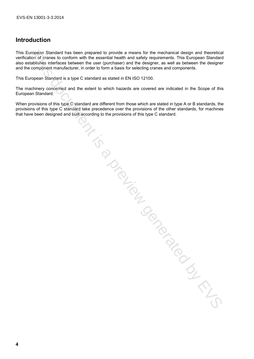## **Introduction**

This European Standard has been prepared to provide a means for the mechanical design and theoretical verification of cranes to conform with the essential health and safety requirements. This European Standard also establishes interfaces between the user (purchaser) and the designer, as well as between the designer and the component manufacturer, in order to form a basis for selecting cranes and components.

This European Standard is a type C standard as stated in EN ISO 12100.

The machinery concerned and the extent to which hazards are covered are indicated in the Scope of this European Standard.

When provisions of this type C standard are different from those which are stated in type A or B standards, the provisions of this type C standard take precedence over the provisions of the other standards, for machines that have been designed and built according to the provisions of this type C standard. issection of the content of the content of the content of the content of the content of the content of the content of the content of the content of the content of the content of the content of the content of the content of